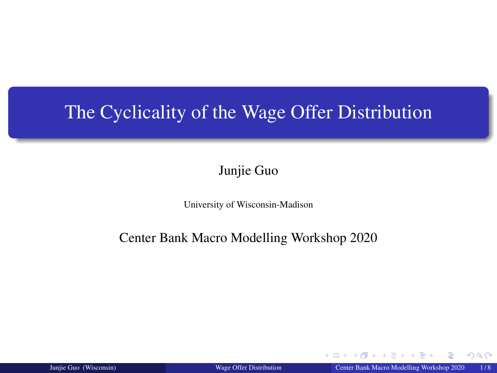## <span id="page-0-0"></span>The Cyclicality of the Wage Offer Distribution

#### Junjie Guo

University of Wisconsin-Madison

#### Center Bank Macro Modelling Workshop 2020

Junjie Guo (Wisconsin) [Wage Offer Distribution](#page-7-0) Center Bank Macro Modelling Workshop 2020 1 / 8

 $\triangleright$  4  $\equiv$   $\triangleright$  4

4 0 8 4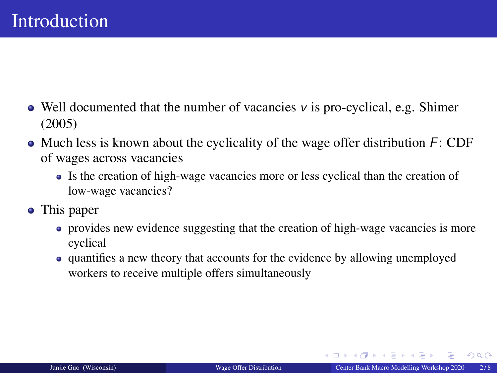- <span id="page-1-0"></span> $\bullet$  Well documented that the number of vacancies v is pro-cyclical, e.g. Shimer (2005)
- $\bullet$  Much less is known about the cyclicality of the wage offer distribution  $F:$  CDF of wages across vacancies
	- Is the creation of high-wage vacancies more or less cyclical than the creation of low-wage vacancies?
- This paper
	- provides new evidence suggesting that the creation of high-wage vacancies is more cyclical
	- quantifies a new theory that accounts for the evidence by allowing unemployed workers to receive multiple offers simultaneously

イロト イ押 トイチト イチト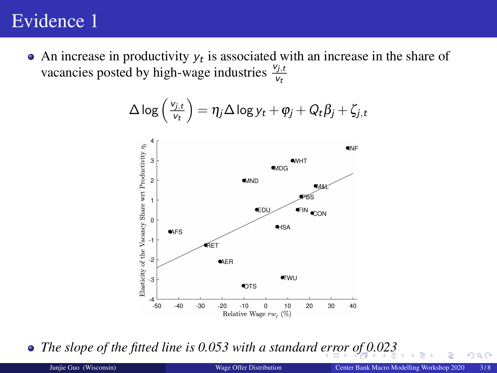### <span id="page-2-0"></span>Evidence 1

An increase in productivity  $y_t$  is associated with an increase in the share of vacancies posted by high-wage industries  $\frac{v_{j,t}}{v_t}$ 

$$
\Delta \log \left( \tfrac{v_{j,t}}{v_t} \right) = \eta_j \Delta \log y_t + \varphi_j + Q_t \beta_j + \zeta_{j,t}
$$



• *The slope of the fitted line is 0.053 with a standard [er](#page-1-0)r[or](#page-3-0) [o](#page-1-0)f*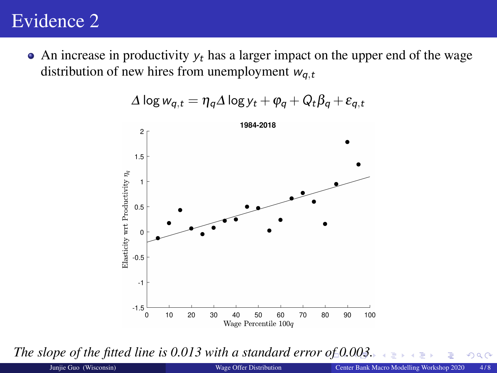## <span id="page-3-0"></span>Evidence 2

 $\bullet$  An increase in productivity  $y_t$  has a larger impact on the upper end of the wage distribution of new hires from unemployment  $w_{a,t}$ 



$$
\Delta \log w_{q,t} = \eta_q \Delta \log y_t + \varphi_q + Q_t \beta_q + \varepsilon_{q,t}
$$

*The slope of the fitted line is 0.013 with a standard erro[r o](#page-2-0)f [0.](#page-4-0)[0](#page-2-0)[03](#page-3-0)[.](#page-4-0)*

 $QQ$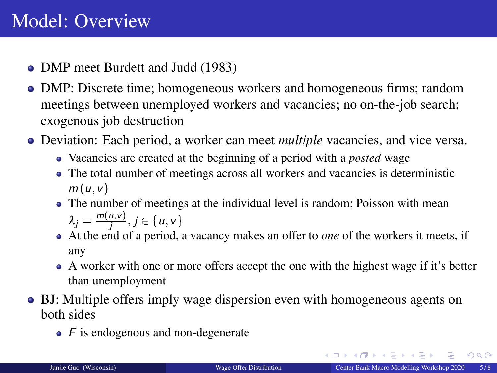- <span id="page-4-0"></span>• DMP meet Burdett and Judd (1983)
- DMP: Discrete time; homogeneous workers and homogeneous firms; random meetings between unemployed workers and vacancies; no on-the-job search; exogenous job destruction
- Deviation: Each period, a worker can meet *multiple* vacancies, and vice versa.
	- Vacancies are created at the beginning of a period with a *posted* wage
	- The total number of meetings across all workers and vacancies is deterministic  $m(u, v)$
	- The number of meetings at the individual level is random; Poisson with mean  $\lambda_j = \frac{m(u,v)}{j}, j \in \{u,v\}$
	- At the end of a period, a vacancy makes an offer to *one* of the workers it meets, if any
	- A worker with one or more offers accept the one with the highest wage if it's better than unemployment
- BJ: Multiple offers imply wage dispersion even with homogeneous agents on both sides
	- $\bullet$  F is endogenous and non-degenerate

 $299$ 

 $\mathbf{A} \equiv \mathbf{A} + \mathbf{A} \mathbf{B} + \mathbf{A} \equiv \mathbf{A} + \mathbf{A} \equiv \mathbf{A}$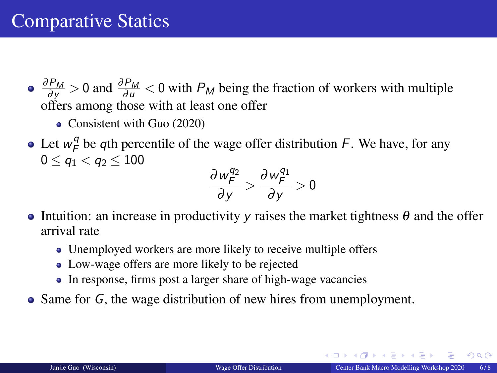$\frac{\partial P_M}{\partial y} > 0$  and  $\frac{\partial P_M}{\partial u} < 0$  with  $P_M$  being the fraction of workers with multiple offers among those with at least one offer

- Consistent with Guo (2020)
- Let  $w_F^q$  $\mathcal{F}_F^q$  be qth percentile of the wage offer distribution F. We have, for any  $0 \leq a_1 < a_2 \leq 100$

$$
\frac{\partial w_F^{q_2}}{\partial y} > \frac{\partial w_F^{q_1}}{\partial y} > 0
$$

- Intuition: an increase in productivity y raises the market tightness  $\theta$  and the offer arrival rate
	- Unemployed workers are more likely to receive multiple offers
	- Low-wage offers are more likely to be rejected
	- In response, firms post a larger share of high-wage vacancies
- Same for G, the wage distribution of new hires from unemployment.

 $\Omega$ 

 $\left\{ \begin{array}{ccc} 1 & 0 & 0 \\ 0 & 1 & 0 \end{array} \right.$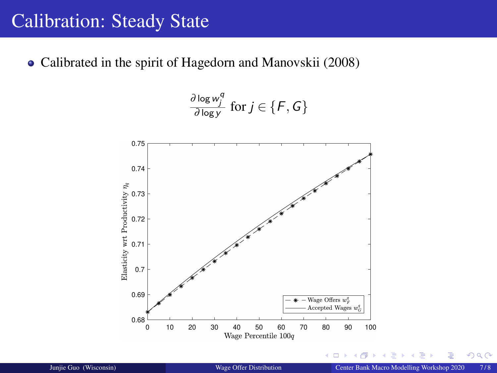#### Calibration: Steady State

Calibrated in the spirit of Hagedorn and Manovskii (2008)



 $\leftarrow$   $\Box$